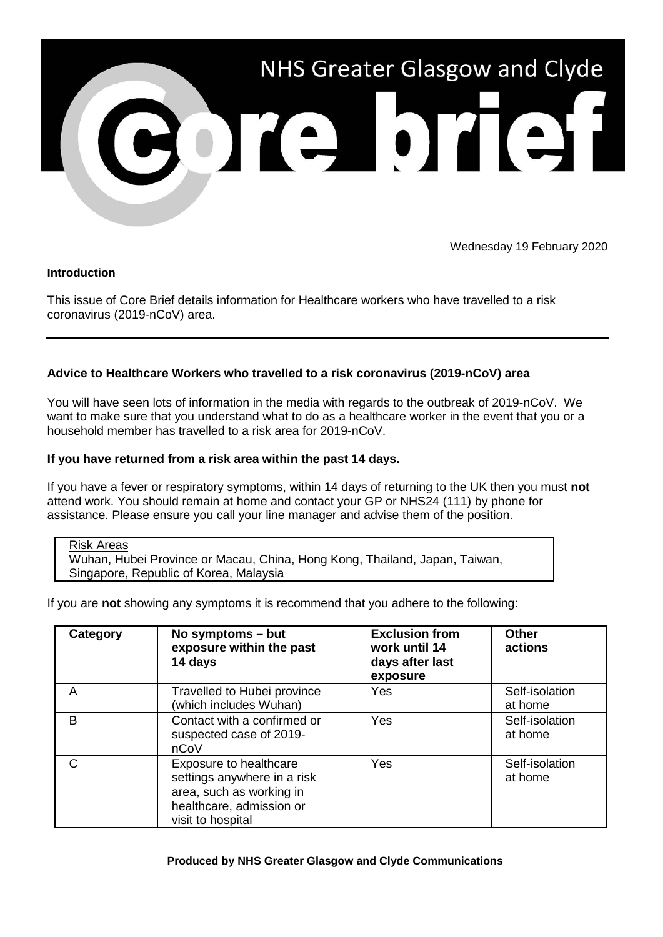

Wednesday 19 February 2020

# **Introduction**

This issue of Core Brief details information for Healthcare workers who have travelled to a risk coronavirus (2019-nCoV) area.

# **Advice to Healthcare Workers who travelled to a risk coronavirus (2019-nCoV) area**

You will have seen lots of information in the media with regards to the outbreak of 2019-nCoV. We want to make sure that you understand what to do as a healthcare worker in the event that you or a household member has travelled to a risk area for 2019-nCoV.

# **If you have returned from a risk area within the past 14 days.**

If you have a fever or respiratory symptoms, within 14 days of returning to the UK then you must **not** attend work. You should remain at home and contact your GP or NHS24 (111) by phone for assistance. Please ensure you call your line manager and advise them of the position.

Risk Areas

Wuhan, Hubei Province or Macau, China, Hong Kong, Thailand, Japan, Taiwan, Singapore, Republic of Korea, Malaysia

If you are **not** showing any symptoms it is recommend that you adhere to the following:

| Category | No symptoms - but<br>exposure within the past<br>14 days                                                                           | <b>Exclusion from</b><br>work until 14<br>days after last<br>exposure | <b>Other</b><br>actions   |
|----------|------------------------------------------------------------------------------------------------------------------------------------|-----------------------------------------------------------------------|---------------------------|
| Α        | Travelled to Hubei province<br>(which includes Wuhan)                                                                              | Yes                                                                   | Self-isolation<br>at home |
| B        | Contact with a confirmed or<br>suspected case of 2019-<br>nCoV                                                                     | Yes                                                                   | Self-isolation<br>at home |
| C        | Exposure to healthcare<br>settings anywhere in a risk<br>area, such as working in<br>healthcare, admission or<br>visit to hospital | Yes                                                                   | Self-isolation<br>at home |